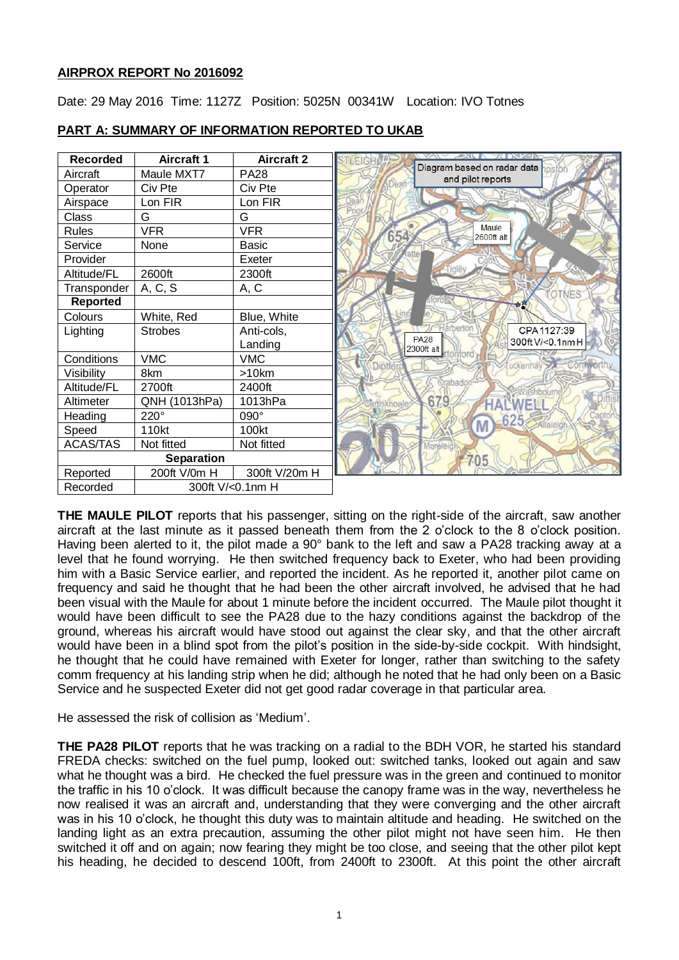# **AIRPROX REPORT No 2016092**

Date: 29 May 2016 Time: 1127Z Position: 5025N 00341W Location: IVO Totnes



## **PART A: SUMMARY OF INFORMATION REPORTED TO UKAB**

**THE MAULE PILOT** reports that his passenger, sitting on the right-side of the aircraft, saw another aircraft at the last minute as it passed beneath them from the 2 o'clock to the 8 o'clock position. Having been alerted to it, the pilot made a 90° bank to the left and saw a PA28 tracking away at a level that he found worrying. He then switched frequency back to Exeter, who had been providing him with a Basic Service earlier, and reported the incident. As he reported it, another pilot came on frequency and said he thought that he had been the other aircraft involved, he advised that he had been visual with the Maule for about 1 minute before the incident occurred. The Maule pilot thought it would have been difficult to see the PA28 due to the hazy conditions against the backdrop of the ground, whereas his aircraft would have stood out against the clear sky, and that the other aircraft would have been in a blind spot from the pilot's position in the side-by-side cockpit. With hindsight, he thought that he could have remained with Exeter for longer, rather than switching to the safety comm frequency at his landing strip when he did; although he noted that he had only been on a Basic Service and he suspected Exeter did not get good radar coverage in that particular area.

He assessed the risk of collision as 'Medium'.

**THE PA28 PILOT** reports that he was tracking on a radial to the BDH VOR, he started his standard FREDA checks: switched on the fuel pump, looked out: switched tanks, looked out again and saw what he thought was a bird. He checked the fuel pressure was in the green and continued to monitor the traffic in his 10 o'clock. It was difficult because the canopy frame was in the way, nevertheless he now realised it was an aircraft and, understanding that they were converging and the other aircraft was in his 10 o'clock, he thought this duty was to maintain altitude and heading. He switched on the landing light as an extra precaution, assuming the other pilot might not have seen him. He then switched it off and on again; now fearing they might be too close, and seeing that the other pilot kept his heading, he decided to descend 100ft, from 2400ft to 2300ft. At this point the other aircraft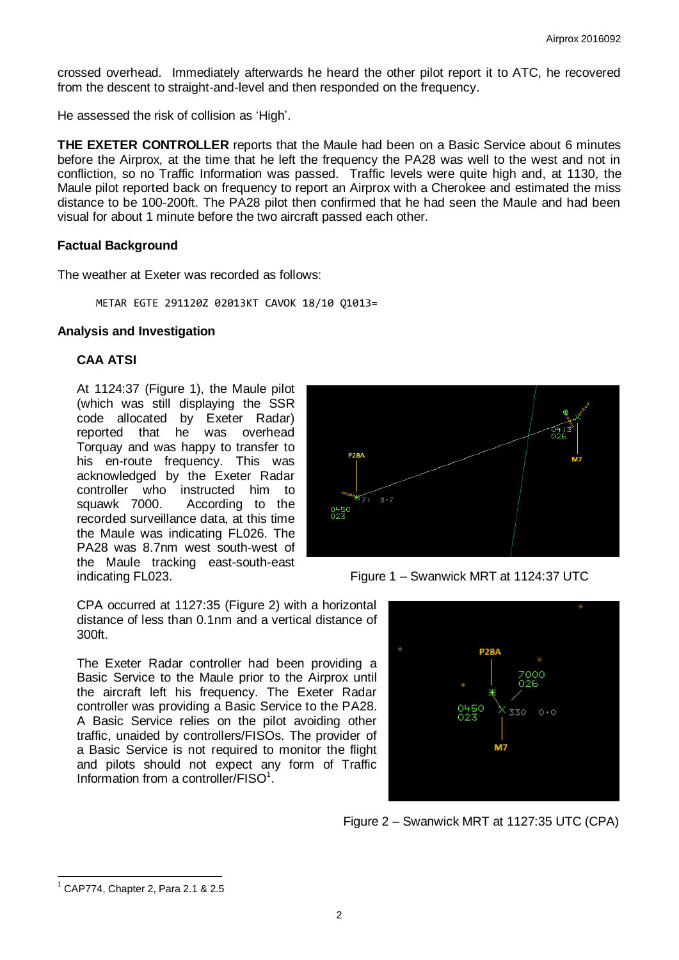crossed overhead. Immediately afterwards he heard the other pilot report it to ATC, he recovered from the descent to straight-and-level and then responded on the frequency.

He assessed the risk of collision as 'High'.

**THE EXETER CONTROLLER** reports that the Maule had been on a Basic Service about 6 minutes before the Airprox, at the time that he left the frequency the PA28 was well to the west and not in confliction, so no Traffic Information was passed. Traffic levels were quite high and, at 1130, the Maule pilot reported back on frequency to report an Airprox with a Cherokee and estimated the miss distance to be 100-200ft. The PA28 pilot then confirmed that he had seen the Maule and had been visual for about 1 minute before the two aircraft passed each other.

## **Factual Background**

The weather at Exeter was recorded as follows:

METAR EGTE 291120Z 02013KT CAVOK 18/10 Q1013=

## **Analysis and Investigation**

# **CAA ATSI**

At 1124:37 (Figure 1), the Maule pilot (which was still displaying the SSR code allocated by Exeter Radar) reported that he was overhead Torquay and was happy to transfer to his en-route frequency. This was acknowledged by the Exeter Radar controller who instructed him to squawk 7000. According to the recorded surveillance data, at this time the Maule was indicating FL026. The PA28 was 8.7nm west south-west of the Maule tracking east-south-east



indicating FL023. Figure 1 – Swanwick MRT at 1124:37 UTC

CPA occurred at 1127:35 (Figure 2) with a horizontal distance of less than 0.1nm and a vertical distance of 300ft.

The Exeter Radar controller had been providing a Basic Service to the Maule prior to the Airprox until the aircraft left his frequency. The Exeter Radar controller was providing a Basic Service to the PA28. A Basic Service relies on the pilot avoiding other traffic, unaided by controllers/FISOs. The provider of a Basic Service is not required to monitor the flight and pilots should not expect any form of Traffic Information from a controller/FISO<sup>1</sup>.



Figure 2 – Swanwick MRT at 1127:35 UTC (CPA)

 $\overline{a}$ <sup>1</sup> CAP774, Chapter 2, Para 2.1 & 2.5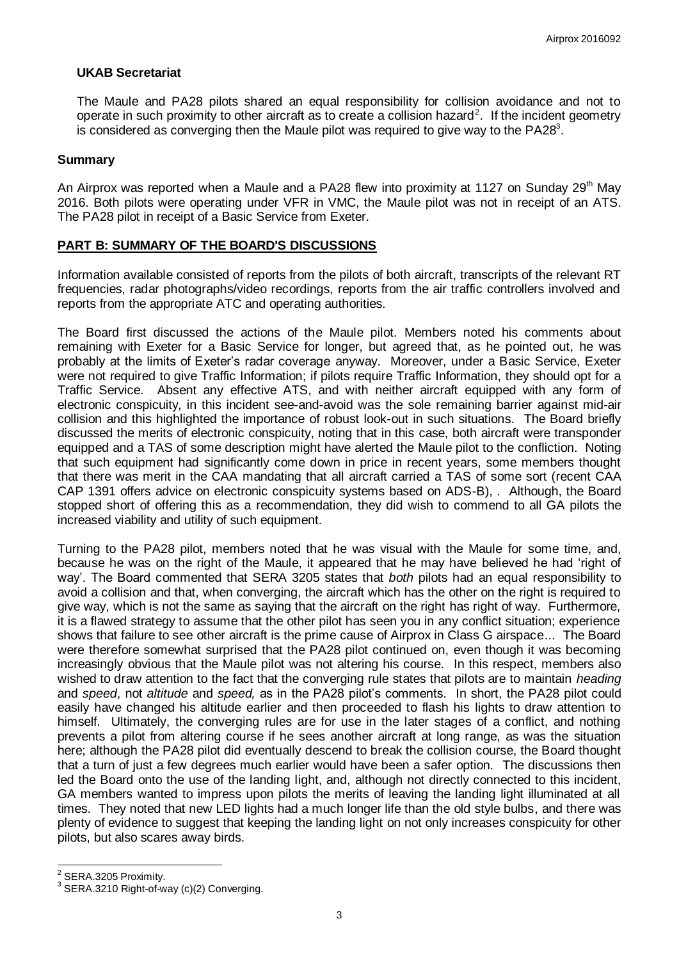# **UKAB Secretariat**

The Maule and PA28 pilots shared an equal responsibility for collision avoidance and not to operate in such proximity to other aircraft as to create a collision hazard<sup>2</sup>. If the incident geometry is considered as converging then the Maule pilot was required to give way to the PA28 $^{\rm 3}.$ 

#### **Summary**

An Airprox was reported when a Maule and a PA28 flew into proximity at 1127 on Sunday 29<sup>th</sup> May 2016. Both pilots were operating under VFR in VMC, the Maule pilot was not in receipt of an ATS. The PA28 pilot in receipt of a Basic Service from Exeter.

## **PART B: SUMMARY OF THE BOARD'S DISCUSSIONS**

Information available consisted of reports from the pilots of both aircraft, transcripts of the relevant RT frequencies, radar photographs/video recordings, reports from the air traffic controllers involved and reports from the appropriate ATC and operating authorities.

The Board first discussed the actions of the Maule pilot. Members noted his comments about remaining with Exeter for a Basic Service for longer, but agreed that, as he pointed out, he was probably at the limits of Exeter's radar coverage anyway. Moreover, under a Basic Service, Exeter were not required to give Traffic Information; if pilots require Traffic Information, they should opt for a Traffic Service. Absent any effective ATS, and with neither aircraft equipped with any form of electronic conspicuity, in this incident see-and-avoid was the sole remaining barrier against mid-air collision and this highlighted the importance of robust look-out in such situations. The Board briefly discussed the merits of electronic conspicuity, noting that in this case, both aircraft were transponder equipped and a TAS of some description might have alerted the Maule pilot to the confliction. Noting that such equipment had significantly come down in price in recent years, some members thought that there was merit in the CAA mandating that all aircraft carried a TAS of some sort (recent CAA CAP 1391 offers advice on electronic conspicuity systems based on ADS-B), . Although, the Board stopped short of offering this as a recommendation, they did wish to commend to all GA pilots the increased viability and utility of such equipment.

Turning to the PA28 pilot, members noted that he was visual with the Maule for some time, and, because he was on the right of the Maule, it appeared that he may have believed he had 'right of way'. The Board commented that SERA 3205 states that *both* pilots had an equal responsibility to avoid a collision and that, when converging, the aircraft which has the other on the right is required to give way, which is not the same as saying that the aircraft on the right has right of way. Furthermore, it is a flawed strategy to assume that the other pilot has seen you in any conflict situation; experience shows that failure to see other aircraft is the prime cause of Airprox in Class G airspace... The Board were therefore somewhat surprised that the PA28 pilot continued on, even though it was becoming increasingly obvious that the Maule pilot was not altering his course. In this respect, members also wished to draw attention to the fact that the converging rule states that pilots are to maintain *heading* and *speed*, not *altitude* and *speed,* as in the PA28 pilot's comments. In short, the PA28 pilot could easily have changed his altitude earlier and then proceeded to flash his lights to draw attention to himself. Ultimately, the converging rules are for use in the later stages of a conflict, and nothing prevents a pilot from altering course if he sees another aircraft at long range, as was the situation here; although the PA28 pilot did eventually descend to break the collision course, the Board thought that a turn of just a few degrees much earlier would have been a safer option. The discussions then led the Board onto the use of the landing light, and, although not directly connected to this incident, GA members wanted to impress upon pilots the merits of leaving the landing light illuminated at all times. They noted that new LED lights had a much longer life than the old style bulbs, and there was plenty of evidence to suggest that keeping the landing light on not only increases conspicuity for other pilots, but also scares away birds.

 2 SERA.3205 Proximity.

<sup>3</sup> SERA.3210 Right-of-way (c)(2) Converging.